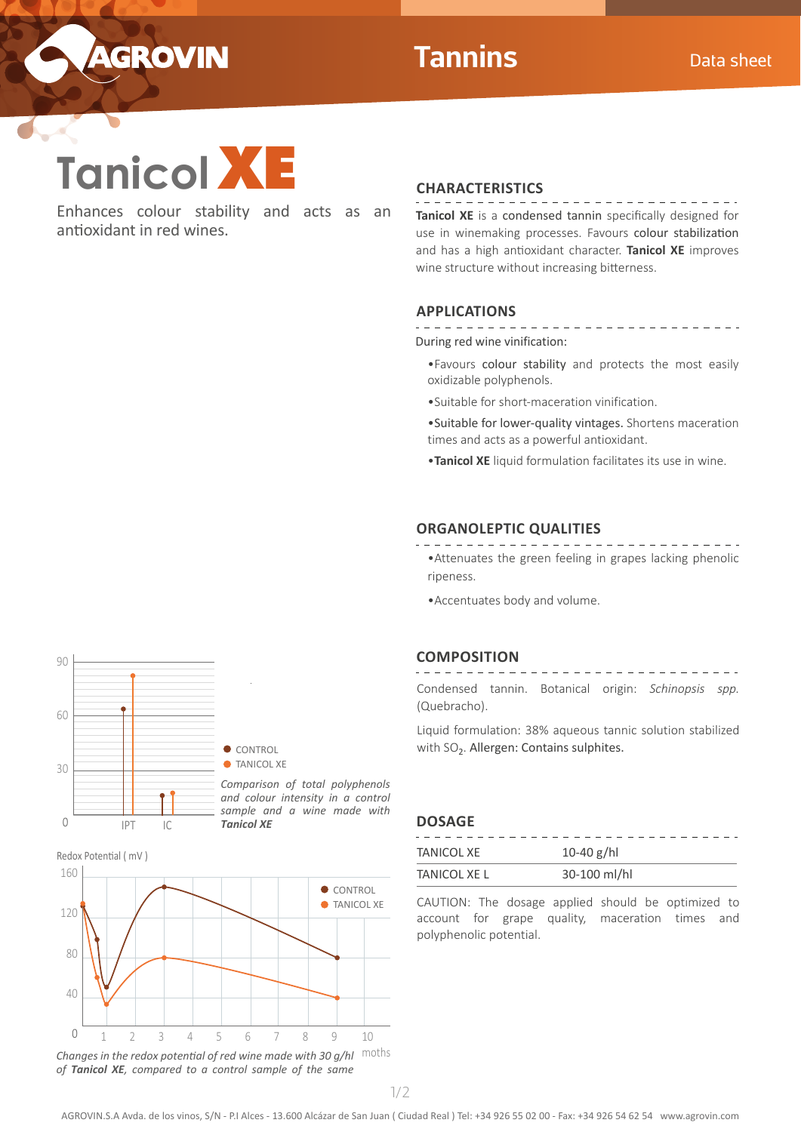

 $\mathcal{L}$ 



Enhances colour stability and acts as an antioxidant in red wines.

## **CHARACTERISTICS**

**Tanicol XE** is a condensed tannin specifically designed for use in winemaking processes. Favours colour stabilization and has a high antioxidant character. **Tanicol XE** improves wine structure without increasing bitterness.

## **APPLICATIONS**

. . . . . . . . . . . . . . . <u> 222222222222</u> During red wine vinification:

- •Favours colour stability and protects the most easily oxidizable polyphenols.
- •Suitable for short-maceration vinification.

•Suitable for lower-quality vintages. Shortens maceration times and acts as a powerful antioxidant.

•**Tanicol XE** liquid formulation facilitates its use in wine.

### **ORGANOLEPTIC QUALITIES**

- •Attenuates the green feeling in grapes lacking phenolic ripeness.
- •Accentuates body and volume.

#### **COMPOSITION**

. . . . . . . . . . . . . . . . \_\_\_\_\_\_\_\_\_\_\_\_\_\_ Condensed tannin. Botanical origin: *Schinopsis spp.*  (Quebracho).

Liquid formulation: 38% aqueous tannic solution stabilized with SO<sub>2</sub>. Allergen: Contains sulphites.





Changes in the redox potential of red wine made with 30 g/hl Moths *of Tanicol XE, compared to a control sample of the same* 

**DOSAGE**

| <b>TANICOL XE</b>   | 10-40 $g/hl$ |
|---------------------|--------------|
| <b>TANICOL XE L</b> | 30-100 ml/hl |

CAUTION: The dosage applied should be optimized to account for grape quality, maceration times and polyphenolic potential.

1/2